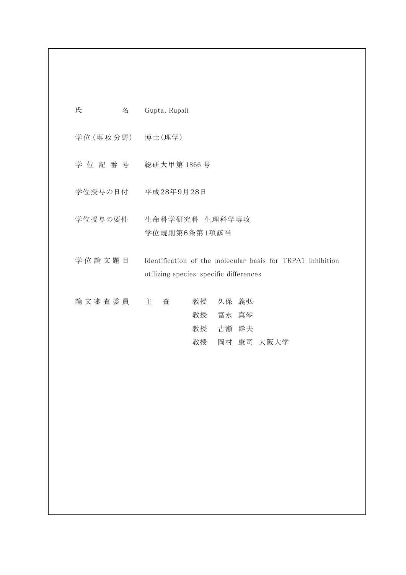| 氏         | 名 | Gupta, Rupali                                                                                        |
|-----------|---|------------------------------------------------------------------------------------------------------|
|           |   | 学位(専攻分野) 博士(理学)                                                                                      |
| 学 位 記 番 号 |   | 総研大甲第 1866 号                                                                                         |
|           |   | 学位授与の日付 平成28年9月28日                                                                                   |
| 学位授与の要件   |   | 生命科学研究科 生理科学専攻<br>学位規則第6条第1項該当                                                                       |
| 学位論文題目    |   | Identification of the molecular basis for TRPA1 inhibition<br>utilizing species-specific differences |
| 論文審査委員    |   | 久保 義弘<br>主<br>査<br>教授<br>北京 一 一 一 十 五                                                                |

 教授 富永 真琴 教授 古瀬 幹夫 教授 岡村 康司 大阪大学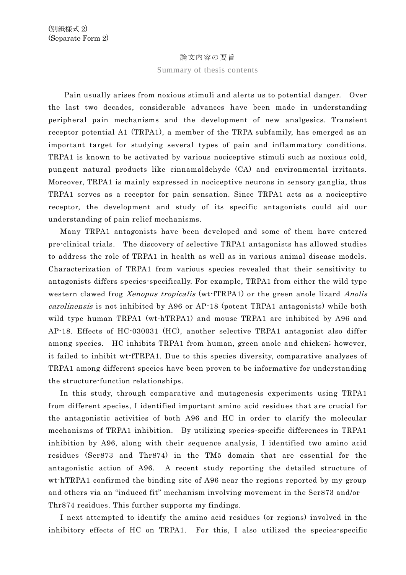## 論文内容の要旨

## Summary of thesis contents

Pain usually arises from noxious stimuli and alerts us to potential danger. Over the last two decades, considerable advances have been made in understanding peripheral pain mechanisms and the development of new analgesics. Transient receptor potential A1 (TRPA1), a member of the TRPA subfamily, has emerged as an important target for studying several types of pain and inflammatory conditions. TRPA1 is known to be activated by various nociceptive stimuli such as noxious cold, pungent natural products like cinnamaldehyde (CA) and environmental irritants. Moreover, TRPA1 is mainly expressed in nociceptive neurons in sensory ganglia, thus TRPA1 serves as a receptor for pain sensation. Since TRPA1 acts as a nociceptive receptor, the development and study of its specific antagonists could aid our understanding of pain relief mechanisms.

 Many TRPA1 antagonists have been developed and some of them have entered pre-clinical trials. The discovery of selective TRPA1 antagonists has allowed studies to address the role of TRPA1 in health as well as in various animal disease models. Characterization of TRPA1 from various species revealed that their sensitivity to antagonists differs species-specifically. For example, TRPA1 from either the wild type western clawed frog Xenopus tropicalis (wt-fTRPA1) or the green anole lizard Anolis carolinensis is not inhibited by A96 or AP-18 (potent TRPA1 antagonists) while both wild type human TRPA1 (wt-hTRPA1) and mouse TRPA1 are inhibited by A96 and AP-18. Effects of HC-030031 (HC), another selective TRPA1 antagonist also differ among species. HC inhibits TRPA1 from human, green anole and chicken; however, it failed to inhibit wt-fTRPA1. Due to this species diversity, comparative analyses of TRPA1 among different species have been proven to be informative for understanding the structure-function relationships.

 In this study, through comparative and mutagenesis experiments using TRPA1 from different species, I identified important amino acid residues that are crucial for the antagonistic activities of both A96 and HC in order to clarify the molecular mechanisms of TRPA1 inhibition. By utilizing species-specific differences in TRPA1 inhibition by A96, along with their sequence analysis, I identified two amino acid residues (Ser873 and Thr874) in the TM5 domain that are essential for the antagonistic action of A96. A recent study reporting the detailed structure of wt-hTRPA1 confirmed the binding site of A96 near the regions reported by my group and others via an "induced fit" mechanism involving movement in the Ser873 and/or Thr874 residues. This further supports my findings.

 I next attempted to identify the amino acid residues (or regions) involved in the inhibitory effects of HC on TRPA1. For this, I also utilized the species-specific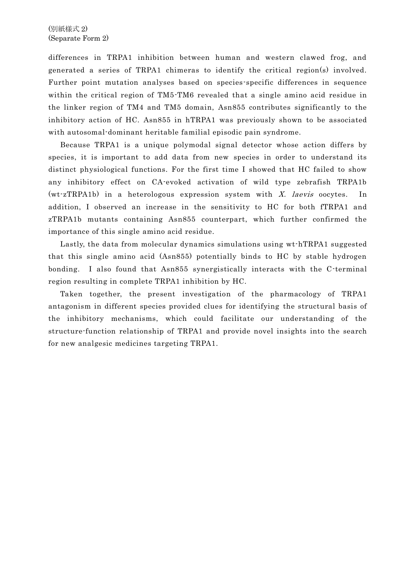differences in TRPA1 inhibition between human and western clawed frog, and generated a series of TRPA1 chimeras to identify the critical region(s) involved. Further point mutation analyses based on species-specific differences in sequence within the critical region of TM5-TM6 revealed that a single amino acid residue in the linker region of TM4 and TM5 domain, Asn855 contributes significantly to the inhibitory action of HC. Asn855 in hTRPA1 was previously shown to be associated with autosomal-dominant heritable familial episodic pain syndrome.

 Because TRPA1 is a unique polymodal signal detector whose action differs by species, it is important to add data from new species in order to understand its distinct physiological functions. For the first time I showed that HC failed to show any inhibitory effect on CA-evoked activation of wild type zebrafish TRPA1b  $(wt zTRPA1b)$  in a heterologous expression system with X. laevis oocytes. In addition, I observed an increase in the sensitivity to HC for both fTRPA1 and zTRPA1b mutants containing Asn855 counterpart, which further confirmed the importance of this single amino acid residue.

 Lastly, the data from molecular dynamics simulations using wt-hTRPA1 suggested that this single amino acid (Asn855) potentially binds to HC by stable hydrogen bonding. I also found that Asn855 synergistically interacts with the C-terminal region resulting in complete TRPA1 inhibition by HC.

 Taken together, the present investigation of the pharmacology of TRPA1 antagonism in different species provided clues for identifying the structural basis of the inhibitory mechanisms, which could facilitate our understanding of the structure-function relationship of TRPA1 and provide novel insights into the search for new analgesic medicines targeting TRPA1.